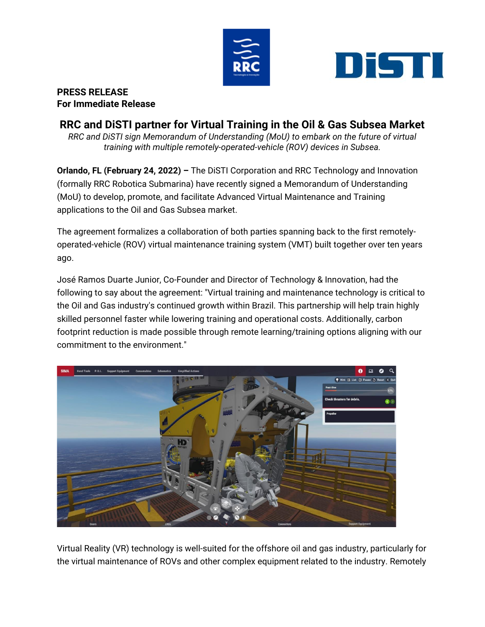



## **PRESS RELEASE For Immediate Release**

## **RRC and DiSTI partner for Virtual Training in the Oil & Gas Subsea Market**

*RRC and DiSTI sign Memorandum of Understanding (MoU) to embark on the future of virtual training with multiple remotely-operated-vehicle (ROV) devices in Subsea.*

**Orlando, FL (February 24, 2022) –** The DiSTI Corporation and RRC Technology and Innovation (formally RRC Robotica Submarina) have recently signed a Memorandum of Understanding (MoU) to develop, promote, and facilitate Advanced Virtual Maintenance and Training applications to the Oil and Gas Subsea market.

The agreement formalizes a collaboration of both parties spanning back to the first remotelyoperated-vehicle (ROV) virtual maintenance training system (VMT) built together over ten years ago.

José Ramos Duarte Junior, Co-Founder and Director of Technology & Innovation, had the following to say about the agreement: "Virtual training and maintenance technology is critical to the Oil and Gas industry's continued growth within Brazil. This partnership will help train highly skilled personnel faster while lowering training and operational costs. Additionally, carbon footprint reduction is made possible through remote learning/training options aligning with our commitment to the environment."



Virtual Reality (VR) technology is well-suited for the offshore oil and gas industry, particularly for the virtual maintenance of ROVs and other complex equipment related to the industry. Remotely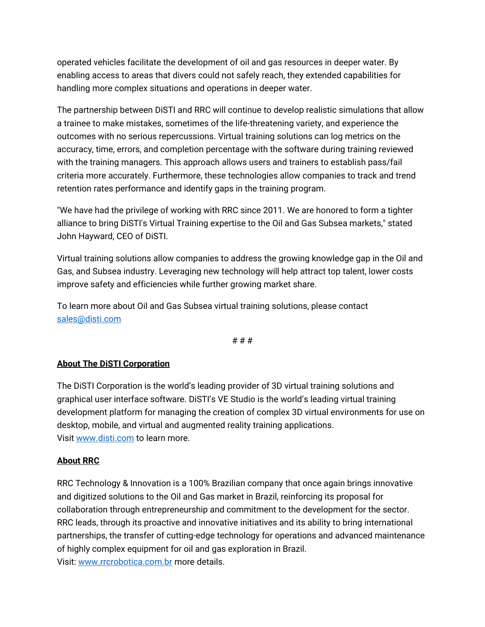operated vehicles facilitate the development of oil and gas resources in deeper water. By enabling access to areas that divers could not safely reach, they extended capabilities for handling more complex situations and operations in deeper water.

The partnership between DiSTI and RRC will continue to develop realistic simulations that allow a trainee to make mistakes, sometimes of the life-threatening variety, and experience the outcomes with no serious repercussions. Virtual training solutions can log metrics on the accuracy, time, errors, and completion percentage with the software during training reviewed with the training managers. This approach allows users and trainers to establish pass/fail criteria more accurately. Furthermore, these technologies allow companies to track and trend retention rates performance and identify gaps in the training program.

"We have had the privilege of working with RRC since 2011. We are honored to form a tighter alliance to bring DiSTI's Virtual Training expertise to the Oil and Gas Subsea markets," stated John Hayward, CEO of DiSTI.

Virtual training solutions allow companies to address the growing knowledge gap in the Oil and Gas, and Subsea industry. Leveraging new technology will help attract top talent, lower costs improve safety and efficiencies while further growing market share.

To learn more about Oil and Gas Subsea virtual training solutions, please contact [sales@disti.com](mailto:sales@disti.com)

# # #

## **About The DiSTI Corporation**

The DiSTI Corporation is the world's leading provider of 3D virtual training solutions and graphical user interface software. DiSTI's VE Studio is the world's leading virtual training development platform for managing the creation of complex 3D virtual environments for use on desktop, mobile, and virtual and augmented reality training applications. Visit [www.disti.com](http://www.disti.com/) to learn more.

## **About RRC**

RRC Technology & Innovation is a 100% Brazilian company that once again brings innovative and digitized solutions to the Oil and Gas market in Brazil, reinforcing its proposal for collaboration through entrepreneurship and commitment to the development for the sector. RRC leads, through its proactive and innovative initiatives and its ability to bring international partnerships, the transfer of cutting-edge technology for operations and advanced maintenance of highly complex equipment for oil and gas exploration in Brazil. Visit: [www.rrcrobotica.com.br](http://www.rrcrobotica.com.br/) more details.